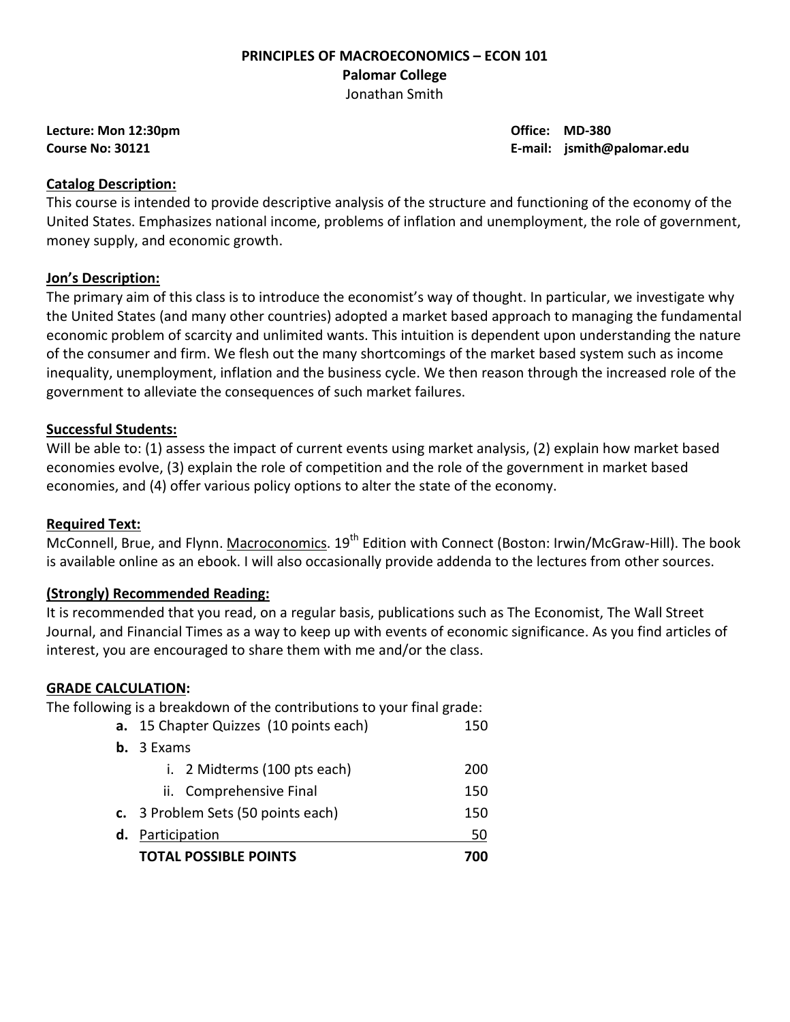#### **PRINCIPLES OF MACROECONOMICS – ECON 101 Palomar College**  Jonathan Smith

**Lecture: Mon 12:30pm Office: MD-380** 

**Course No: 30121 E-mail: jsmith@palomar.edu** 

#### **Catalog Description:**

This course is intended to provide descriptive analysis of the structure and functioning of the economy of the United States. Emphasizes national income, problems of inflation and unemployment, the role of government, money supply, and economic growth.

# **Jon's Description:**

The primary aim of this class is to introduce the economist's way of thought. In particular, we investigate why the United States (and many other countries) adopted a market based approach to managing the fundamental economic problem of scarcity and unlimited wants. This intuition is dependent upon understanding the nature of the consumer and firm. We flesh out the many shortcomings of the market based system such as income inequality, unemployment, inflation and the business cycle. We then reason through the increased role of the government to alleviate the consequences of such market failures.

# **Successful Students:**

Will be able to: (1) assess the impact of current events using market analysis, (2) explain how market based economies evolve, (3) explain the role of competition and the role of the government in market based economies, and (4) offer various policy options to alter the state of the economy.

#### **Required Text:**

McConnell, Brue, and Flynn. Macroconomics. 19<sup>th</sup> Edition with Connect (Boston: Irwin/McGraw-Hill). The book is available online as an ebook. I will also occasionally provide addenda to the lectures from other sources.

#### **(Strongly) Recommended Reading:**

It is recommended that you read, on a regular basis, publications such as The Economist, The Wall Street Journal, and Financial Times as a way to keep up with events of economic significance. As you find articles of interest, you are encouraged to share them with me and/or the class.

#### **GRADE CALCULATION:**

The following is a breakdown of the contributions to your final grade:

|    | <b>TOTAL POSSIBLE POINTS</b>                  | 700 |  |  |  |
|----|-----------------------------------------------|-----|--|--|--|
| d. | Participation                                 |     |  |  |  |
|    | c. 3 Problem Sets (50 points each)<br>150     |     |  |  |  |
|    | ii. Comprehensive Final                       | 150 |  |  |  |
|    | i. 2 Midterms (100 pts each)                  | 200 |  |  |  |
|    | <b>b.</b> $3$ Exams                           |     |  |  |  |
|    | a. 15 Chapter Quizzes (10 points each)<br>150 |     |  |  |  |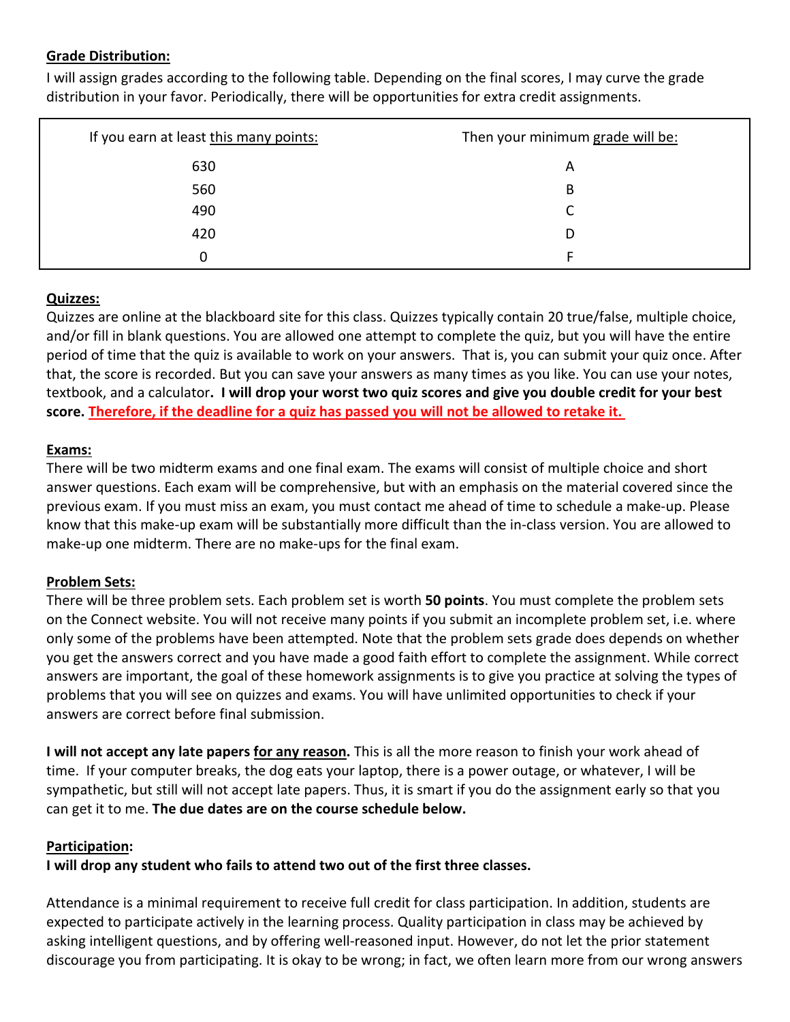# **Grade Distribution:**

I will assign grades according to the following table. Depending on the final scores, I may curve the grade distribution in your favor. Periodically, there will be opportunities for extra credit assignments.

| If you earn at least this many points: | Then your minimum grade will be: |
|----------------------------------------|----------------------------------|
| 630                                    | Α                                |
| 560                                    | B                                |
| 490                                    |                                  |
| 420                                    | D                                |
| 0                                      |                                  |

# **Quizzes:**

Quizzes are online at the blackboard site for this class. Quizzes typically contain 20 true/false, multiple choice, and/or fill in blank questions. You are allowed one attempt to complete the quiz, but you will have the entire period of time that the quiz is available to work on your answers. That is, you can submit your quiz once. After that, the score is recorded. But you can save your answers as many times as you like. You can use your notes, textbook, and a calculator**. I will drop your worst two quiz scores and give you double credit for your best score. Therefore, if the deadline for a quiz has passed you will not be allowed to retake it.**

# **Exams:**

There will be two midterm exams and one final exam. The exams will consist of multiple choice and short answer questions. Each exam will be comprehensive, but with an emphasis on the material covered since the previous exam. If you must miss an exam, you must contact me ahead of time to schedule a make-up. Please know that this make-up exam will be substantially more difficult than the in-class version. You are allowed to make-up one midterm. There are no make-ups for the final exam.

# **Problem Sets:**

There will be three problem sets. Each problem set is worth **50 points**. You must complete the problem sets on the Connect website. You will not receive many points if you submit an incomplete problem set, i.e. where only some of the problems have been attempted. Note that the problem sets grade does depends on whether you get the answers correct and you have made a good faith effort to complete the assignment. While correct answers are important, the goal of these homework assignments is to give you practice at solving the types of problems that you will see on quizzes and exams. You will have unlimited opportunities to check if your answers are correct before final submission.

**I will not accept any late papers for any reason.** This is all the more reason to finish your work ahead of time. If your computer breaks, the dog eats your laptop, there is a power outage, or whatever, I will be sympathetic, but still will not accept late papers. Thus, it is smart if you do the assignment early so that you can get it to me. **The due dates are on the course schedule below.**

#### **Participation:**

**I will drop any student who fails to attend two out of the first three classes.**

Attendance is a minimal requirement to receive full credit for class participation. In addition, students are expected to participate actively in the learning process. Quality participation in class may be achieved by asking intelligent questions, and by offering well-reasoned input. However, do not let the prior statement discourage you from participating. It is okay to be wrong; in fact, we often learn more from our wrong answers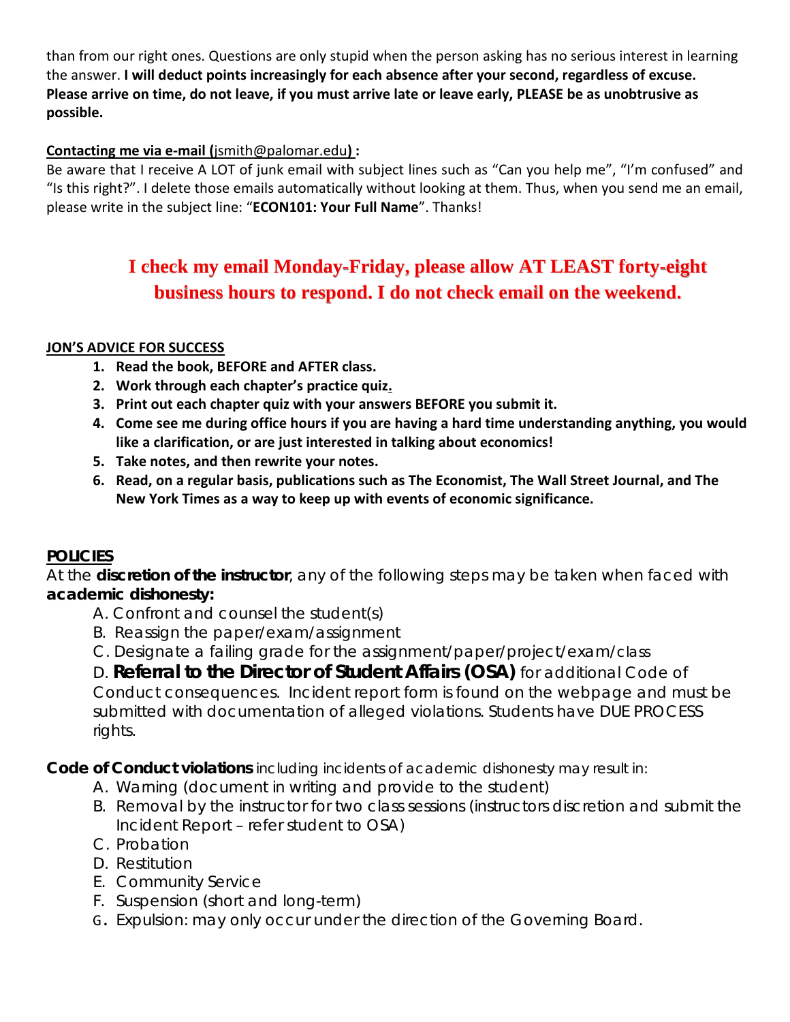than from our right ones. Questions are only stupid when the person asking has no serious interest in learning the answer. **I will deduct points increasingly for each absence after your second, regardless of excuse. Please arrive on time, do not leave, if you must arrive late or leave early, PLEASE be as unobtrusive as possible.**

# **Contacting me via e-mail (**jsmith@palomar.edu**) :**

Be aware that I receive A LOT of junk email with subject lines such as "Can you help me", "I'm confused" and "Is this right?". I delete those emails automatically without looking at them. Thus, when you send me an email, please write in the subject line: "**ECON101: Your Full Name**". Thanks!

# **I check my email Monday-Friday, please allow AT LEAST forty-eight business hours to respond. I do not check email on the weekend.**

# **JON'S ADVICE FOR SUCCESS**

- **1. Read the book, BEFORE and AFTER class.**
- **2. Work through each chapter's practice quiz.**
- **3. Print out each chapter quiz with your answers BEFORE you submit it.**
- **4. Come see me during office hours if you are having a hard time understanding anything, you would like a clarification, or are just interested in talking about economics!**
- **5. Take notes, and then rewrite your notes.**
- **6. Read, on a regular basis, publications such as The Economist, The Wall Street Journal, and The New York Times as a way to keep up with events of economic significance.**

# **POLICIES**

At the **discretion of the instructor**, any of the following steps may be taken when faced with **academic dishonesty:**

- A. Confront and counsel the student(s)
- B. Reassign the paper/exam/assignment
- C. Designate a failing grade for the assignment/paper/project/exam/*class*

D. **Referral to the Director of Student Affairs (OSA)** for additional Code of Conduct consequences. Incident report form is found on the webpage and must be submitted with documentation of alleged violations. Students have DUE PROCESS rights.

**Code of Conduct violations** including incidents of academic dishonesty may result in:

- A. Warning (document in writing and provide to the student)
- B. Removal by the instructor for two class sessions (instructors discretion and submit the Incident Report – refer student to OSA)
- C. Probation
- D. Restitution
- E. Community Service
- F. Suspension (short and long-term)
- G. Expulsion: may only occur under the direction of the Governing Board.